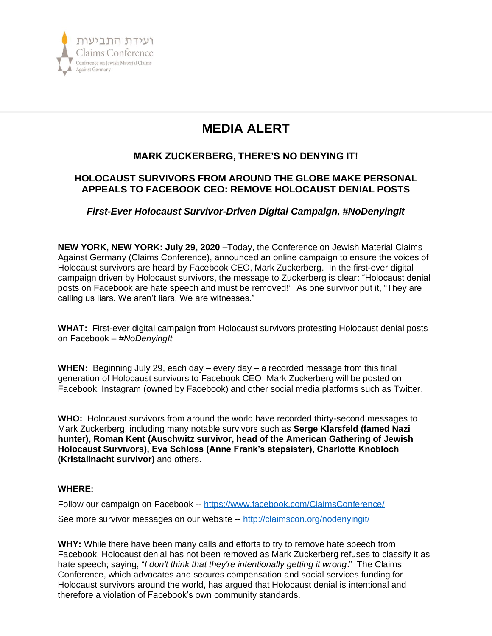

# **MEDIA ALERT**

# **MARK ZUCKERBERG, THERE'S NO DENYING IT!**

# **HOLOCAUST SURVIVORS FROM AROUND THE GLOBE MAKE PERSONAL APPEALS TO FACEBOOK CEO: REMOVE HOLOCAUST DENIAL POSTS**

# *First-Ever Holocaust Survivor-Driven Digital Campaign, #NoDenyingIt*

**NEW YORK, NEW YORK: July 29, 2020 –**Today, the Conference on Jewish Material Claims Against Germany (Claims Conference), announced an online campaign to ensure the voices of Holocaust survivors are heard by Facebook CEO, Mark Zuckerberg. In the first-ever digital campaign driven by Holocaust survivors, the message to Zuckerberg is clear: "Holocaust denial posts on Facebook are hate speech and must be removed!" As one survivor put it, "They are calling us liars. We aren't liars. We are witnesses."

**WHAT:** First-ever digital campaign from Holocaust survivors protesting Holocaust denial posts on Facebook – *#NoDenyingIt*

**WHEN:** Beginning July 29, each day – every day – a recorded message from this final generation of Holocaust survivors to Facebook CEO, Mark Zuckerberg will be posted on Facebook, Instagram (owned by Facebook) and other social media platforms such as Twitter.

**WHO:** Holocaust survivors from around the world have recorded thirty-second messages to Mark Zuckerberg, including many notable survivors such as **Serge Klarsfeld (famed Nazi hunter), Roman Kent (Auschwitz survivor, head of the American Gathering of Jewish Holocaust Survivors), Eva Schloss (Anne Frank's stepsister), Charlotte Knobloch (Kristallnacht survivor)** and others.

## **WHERE:**

Follow our campaign on Facebook -- <https://www.facebook.com/ClaimsConference/> See more survivor messages on our website -- <http://claimscon.org/nodenyingit/>

**WHY:** While there have been many calls and efforts to try to remove hate speech from Facebook, Holocaust denial has not been removed as Mark Zuckerberg refuses to classify it as hate speech; saying, "*I don't think that they're intentionally getting it wrong*." The Claims Conference, which advocates and secures compensation and social services funding for Holocaust survivors around the world, has argued that Holocaust denial is intentional and therefore a violation of Facebook's own community standards.